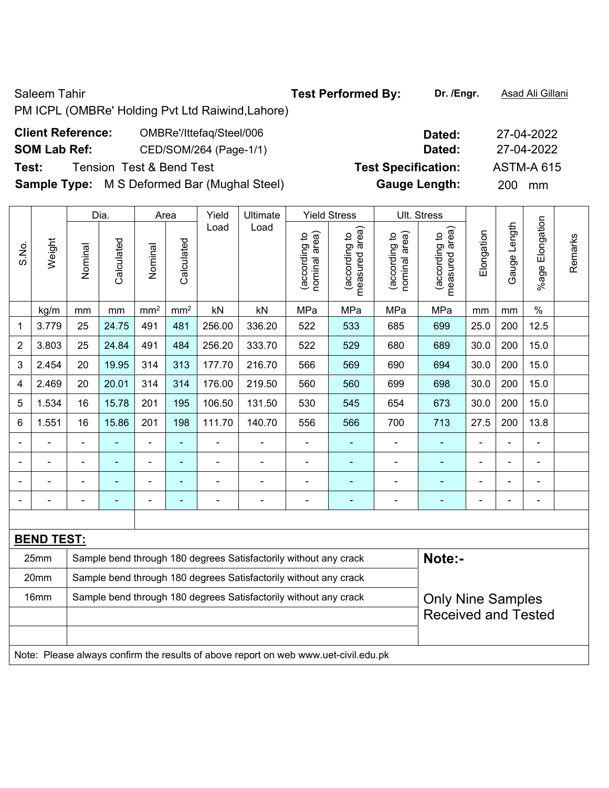### Saleem Tahir **Test Performed By:** Dr. /Engr. **Asad Ali Gillani**

PM ICPL (OMBRe' Holding Pvt Ltd Raiwind,Lahore)

## **Client Reference:** OMBRe'/Ittefaq/Steel/006 **Dated:** 27-04-2022

# **SOM Lab Ref:** CED/SOM/264 (Page-1/1) **Dated:** 27-04-2022

**Test:** Tension Test & Bend Test **Test Specification:** ASTM-A 615

**Sample Type:** M S Deformed Bar (Mughal Steel) **Gauge Length:** 200 mm

|                |                   | Dia.                                                             |                |                          | Area            | Yield                    | Ultimate                                                         |                                | <b>Yield Stress</b>             |                                | Ult. Stress                        |                |                |                 |         |
|----------------|-------------------|------------------------------------------------------------------|----------------|--------------------------|-----------------|--------------------------|------------------------------------------------------------------|--------------------------------|---------------------------------|--------------------------------|------------------------------------|----------------|----------------|-----------------|---------|
| S.No.          | Weight            | Nominal                                                          | Calculated     | Nominal                  | Calculated      | Load                     | Load                                                             | nominal area)<br>(according to | measured area)<br>(according to | (according to<br>nominal area) | area)<br>(according to<br>measured | Elongation     | Gauge Length   | %age Elongation | Remarks |
|                | kg/m              | mm                                                               | mm             | mm <sup>2</sup>          | mm <sup>2</sup> | kN                       | kN                                                               | MPa                            | MPa                             | MPa                            | MPa                                | mm             | mm             | $\%$            |         |
| 1              | 3.779             | 25                                                               | 24.75          | 491                      | 481             | 256.00                   | 336.20                                                           | 522                            | 533                             | 685                            | 699                                | 25.0           | 200            | 12.5            |         |
| $\overline{2}$ | 3.803             | 25                                                               | 24.84          | 491                      | 484             | 256.20                   | 333.70                                                           | 522                            | 529                             | 680                            | 689                                | 30.0           | 200            | 15.0            |         |
| 3              | 2.454             | 20                                                               | 19.95          | 314                      | 313             | 177.70                   | 216.70                                                           | 566                            | 569                             | 690                            | 694                                | 30.0           | 200            | 15.0            |         |
| 4              | 2.469             | 20                                                               | 20.01          | 314                      | 314             | 176.00                   | 219.50                                                           | 560                            | 560                             | 699                            | 698                                | 30.0           | 200            | 15.0            |         |
| 5              | 1.534             | 16                                                               | 15.78          | 201                      | 195             | 106.50                   | 131.50                                                           | 530                            | 545                             | 654                            | 673                                | 30.0           | 200            | 15.0            |         |
| 6              | 1.551             | 16                                                               | 15.86          | 201                      | 198             | 111.70                   | 140.70                                                           | 556                            | 566                             | 700                            | 713                                | 27.5           | 200            | 13.8            |         |
|                | $\blacksquare$    | $\blacksquare$                                                   | ÷              | ÷,                       | $\blacksquare$  |                          | $\overline{a}$                                                   | $\blacksquare$                 |                                 |                                | ٠                                  | $\blacksquare$ | $\blacksquare$ | $\blacksquare$  |         |
|                | ۰                 | $\blacksquare$                                                   | $\blacksquare$ | $\overline{\phantom{a}}$ | $\blacksquare$  | $\overline{\phantom{0}}$ | $\overline{\phantom{0}}$                                         | $\blacksquare$                 | $\overline{a}$                  | $\blacksquare$                 | ۰                                  | $\overline{a}$ | $\blacksquare$ | $\blacksquare$  |         |
|                | ÷                 |                                                                  | ÷              | $\blacksquare$           | ä,              | $\blacksquare$           | $\blacksquare$                                                   | $\blacksquare$                 | $\blacksquare$                  | $\blacksquare$                 | ٠                                  | $\blacksquare$ | L,             | $\blacksquare$  |         |
|                |                   |                                                                  |                |                          |                 |                          |                                                                  | $\overline{\phantom{0}}$       |                                 |                                |                                    |                | ÷              | ä,              |         |
|                |                   |                                                                  |                |                          |                 |                          |                                                                  |                                |                                 |                                |                                    |                |                |                 |         |
|                | <b>BEND TEST:</b> |                                                                  |                |                          |                 |                          |                                                                  |                                |                                 |                                |                                    |                |                |                 |         |
|                | 25mm              | Sample bend through 180 degrees Satisfactorily without any crack |                |                          |                 |                          |                                                                  |                                |                                 |                                |                                    |                |                |                 |         |
|                | 20mm              |                                                                  |                |                          |                 |                          | Sample bend through 180 degrees Satisfactorily without any crack |                                |                                 |                                |                                    |                |                |                 |         |
|                | 16mm              |                                                                  |                |                          |                 |                          | Sample bend through 180 degrees Satisfactorily without any crack |                                |                                 |                                | <b>Only Nine Samples</b>           |                |                |                 |         |
|                |                   |                                                                  |                |                          |                 |                          |                                                                  |                                |                                 |                                | <b>Received and Tested</b>         |                |                |                 |         |
|                |                   |                                                                  |                |                          |                 |                          |                                                                  |                                |                                 |                                |                                    |                |                |                 |         |

Note: Please always confirm the results of above report on web www.uet-civil.edu.pk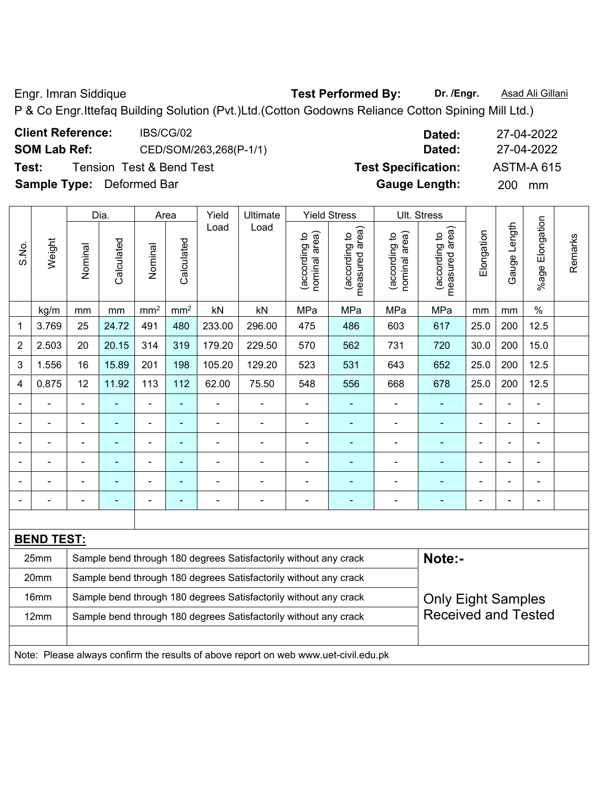Engr. Imran Siddique **Test Performed By:** Dr. /Engr. **Asad Ali Gillani Engr. Asad Ali Gillani** 

P & Co Engr.Ittefaq Building Solution (Pvt.)Ltd.(Cotton Godowns Reliance Cotton Spining Mill Ltd.)

| <b>Client Reference:</b>         | IBS/CG/02                           | Dated:                     | 27-04-2022        |
|----------------------------------|-------------------------------------|----------------------------|-------------------|
| <b>SOM Lab Ref:</b>              | CED/SOM/263,268(P-1/1)              | Dated:                     | 27-04-2022        |
| Test:                            | <b>Tension Test &amp; Bend Test</b> | <b>Test Specification:</b> | <b>ASTM-A 615</b> |
| <b>Sample Type:</b> Deformed Bar |                                     | <b>Gauge Length:</b>       | <b>200</b><br>mm  |

|                |                                                                                     |                                                                                               | Dia.           |                              | Area           |                | <b>Ultimate</b>                                                  |                                   | <b>Yield Stress</b>             |                                | Ult. Stress                     |                |                          |                             |         |
|----------------|-------------------------------------------------------------------------------------|-----------------------------------------------------------------------------------------------|----------------|------------------------------|----------------|----------------|------------------------------------------------------------------|-----------------------------------|---------------------------------|--------------------------------|---------------------------------|----------------|--------------------------|-----------------------------|---------|
| S.No.          | Weight                                                                              | Nominal                                                                                       | Calculated     | Nominal                      | Calculated     | Load           | Load                                                             | area)<br>(according to<br>nominal | measured area)<br>(according to | nominal area)<br>(according to | measured area)<br>(according to | Elongation     | Gauge Length             | Elongation<br>%age <b>F</b> | Remarks |
|                | kg/m                                                                                | mm                                                                                            | mm             | $\rm mm^2$                   | $\text{mm}^2$  | kN             | kN                                                               | MPa                               | MPa                             | MPa                            | MPa                             | mm             | mm                       | $\%$                        |         |
| 1              | 3.769                                                                               | 25                                                                                            | 24.72          | 491                          | 480            | 233.00         | 296.00                                                           | 475                               | 486                             | 603                            | 617                             | 25.0           | 200                      | 12.5                        |         |
| $\overline{2}$ | 2.503                                                                               | 20                                                                                            | 20.15          | 314                          | 319            | 179.20         | 229.50                                                           | 570                               | 562                             | 731                            | 720                             | 30.0           | 200                      | 15.0                        |         |
| 3              | 1.556                                                                               | 16                                                                                            | 15.89          | 201                          | 198            | 105.20         | 129.20                                                           | 523                               | 531                             | 643                            | 652                             | 25.0           | 200                      | 12.5                        |         |
| 4              | 0.875                                                                               | 12                                                                                            | 11.92          | 113                          | 112            | 62.00          | 75.50                                                            | 548                               | 556                             | 668                            | 678                             | 25.0           | 200                      | 12.5                        |         |
|                |                                                                                     |                                                                                               |                |                              |                |                |                                                                  |                                   |                                 |                                |                                 |                |                          |                             |         |
|                |                                                                                     | $\blacksquare$                                                                                | $\blacksquare$ | $\blacksquare$               | ä,             | $\blacksquare$ | $\blacksquare$                                                   | $\blacksquare$                    | ٠                               | $\blacksquare$                 | $\blacksquare$                  | $\blacksquare$ | $\overline{\phantom{a}}$ | $\blacksquare$              |         |
|                |                                                                                     | $\blacksquare$                                                                                | $\blacksquare$ | ä,                           | $\blacksquare$ | $\blacksquare$ | $\blacksquare$                                                   | $\blacksquare$                    | ۰                               | $\blacksquare$                 | $\blacksquare$                  | $\blacksquare$ | $\blacksquare$           | $\blacksquare$              |         |
|                |                                                                                     | $\blacksquare$                                                                                |                | ÷                            | $\blacksquare$ |                |                                                                  | $\blacksquare$                    | ۰                               | ÷,                             |                                 |                |                          | Ē,                          |         |
|                |                                                                                     | $\blacksquare$                                                                                | $\blacksquare$ | $\qquad \qquad \blacksquare$ | $\blacksquare$ | $\blacksquare$ | $\blacksquare$                                                   | $\blacksquare$                    | ٠                               | ۰                              | ÷                               | $\blacksquare$ |                          | $\blacksquare$              |         |
|                |                                                                                     |                                                                                               |                |                              |                |                |                                                                  |                                   |                                 |                                |                                 |                |                          |                             |         |
|                |                                                                                     |                                                                                               |                |                              |                |                |                                                                  |                                   |                                 |                                |                                 |                |                          |                             |         |
|                | <b>BEND TEST:</b>                                                                   |                                                                                               |                |                              |                |                |                                                                  |                                   |                                 |                                |                                 |                |                          |                             |         |
|                | 25mm                                                                                |                                                                                               |                |                              |                |                | Sample bend through 180 degrees Satisfactorily without any crack |                                   |                                 |                                | Note:-                          |                |                          |                             |         |
|                | 20mm                                                                                |                                                                                               |                |                              |                |                | Sample bend through 180 degrees Satisfactorily without any crack |                                   |                                 |                                |                                 |                |                          |                             |         |
|                | 16mm                                                                                | Sample bend through 180 degrees Satisfactorily without any crack<br><b>Only Eight Samples</b> |                |                              |                |                |                                                                  |                                   |                                 |                                |                                 |                |                          |                             |         |
|                | 12mm                                                                                |                                                                                               |                |                              |                |                | Sample bend through 180 degrees Satisfactorily without any crack |                                   |                                 |                                | <b>Received and Tested</b>      |                |                          |                             |         |
|                | Note: Please always confirm the results of above report on web www.uet-civil.edu.pk |                                                                                               |                |                              |                |                |                                                                  |                                   |                                 |                                |                                 |                |                          |                             |         |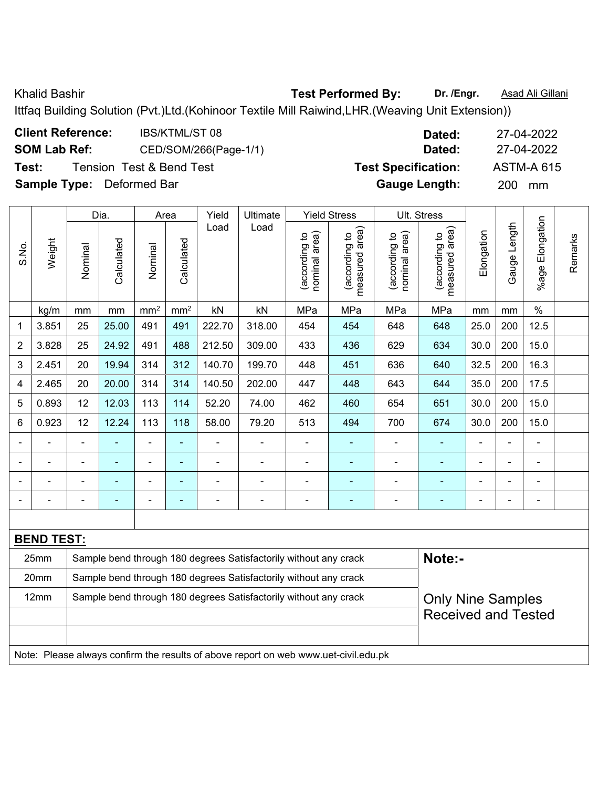Khalid Bashir **Test Performed By:** Dr. /Engr. **Asad Ali Gillani** Collection Association Collection Association Collection Association Collection Association Collection Association Collection Association Collection Associat

Ittfaq Building Solution (Pvt.)Ltd.(Kohinoor Textile Mill Raiwind,LHR.(Weaving Unit Extension))

| <b>Client Reference:</b>         | <b>IBS/KTML/ST08</b>                | Dated:                     | 27-04-2022        |
|----------------------------------|-------------------------------------|----------------------------|-------------------|
| <b>SOM Lab Ref:</b>              | CED/SOM/266(Page-1/1)               | Dated:                     | 27-04-2022        |
| Test:                            | <b>Tension Test &amp; Bend Test</b> | <b>Test Specification:</b> | <b>ASTM-A 615</b> |
| <b>Sample Type:</b> Deformed Bar |                                     | <b>Gauge Length:</b>       | <b>200</b><br>mm  |

|                |                   | Dia.           |                                                                  |                          | Area            |                          | Ultimate                                                         |                                | <b>Yield Stress</b>             |                                | Ult. Stress                     |                |                |                 |         |
|----------------|-------------------|----------------|------------------------------------------------------------------|--------------------------|-----------------|--------------------------|------------------------------------------------------------------|--------------------------------|---------------------------------|--------------------------------|---------------------------------|----------------|----------------|-----------------|---------|
| S.No.          | Weight            | Nominal        | Calculated                                                       | Nominal                  | Calculated      | Load                     | Load                                                             | nominal area)<br>(according to | measured area)<br>(according to | nominal area)<br>(according to | measured area)<br>(according to | Elongation     | Gauge Length   | %age Elongation | Remarks |
|                | kg/m              | mm             | mm                                                               | mm <sup>2</sup>          | mm <sup>2</sup> | kN                       | kN                                                               | MPa                            | MPa                             | MPa                            | MPa                             | mm             | mm             | $\%$            |         |
| 1              | 3.851             | 25             | 25.00                                                            | 491                      | 491             | 222.70                   | 318.00                                                           | 454                            | 454                             | 648                            | 648                             | 25.0           | 200            | 12.5            |         |
| $\overline{2}$ | 3.828             | 25             | 24.92                                                            | 491                      | 488             | 212.50                   | 309.00                                                           | 433                            | 436                             | 629                            | 634                             | 30.0           | 200            | 15.0            |         |
| 3              | 2.451             | 20             | 19.94                                                            | 314                      | 312             | 140.70                   | 199.70                                                           | 448                            | 451                             | 636                            | 640                             | 32.5           | 200            | 16.3            |         |
| 4              | 2.465             | 20             | 20.00                                                            | 314                      | 314             | 140.50                   | 202.00                                                           | 447                            | 448                             | 643                            | 644                             | 35.0           | 200            | 17.5            |         |
| 5              | 0.893             | 12             | 12.03                                                            | 113                      | 114             | 52.20                    | 74.00                                                            | 462                            | 460                             | 654                            | 651                             | 30.0           | 200            | 15.0            |         |
| 6              | 0.923             | 12             | 12.24                                                            | 113                      | 118             | 58.00                    | 79.20                                                            | 513                            | 494                             | 700                            | 674                             | 30.0           | 200            | 15.0            |         |
|                |                   |                |                                                                  | ä,                       | ٠               |                          |                                                                  |                                |                                 |                                |                                 |                |                |                 |         |
|                | $\blacksquare$    | $\blacksquare$ | $\blacksquare$                                                   | $\overline{\phantom{a}}$ | $\blacksquare$  | $\blacksquare$           | $\blacksquare$                                                   | $\blacksquare$                 | $\blacksquare$                  | $\blacksquare$                 | $\blacksquare$                  | ۰              | $\blacksquare$ | $\blacksquare$  |         |
|                | $\blacksquare$    |                | $\blacksquare$                                                   | $\blacksquare$           | $\blacksquare$  | $\blacksquare$           | $\blacksquare$                                                   | $\blacksquare$                 | ٠                               | ۰                              | ۰                               | ۰              | $\blacksquare$ | $\blacksquare$  |         |
|                |                   |                |                                                                  | ۰                        | ٠               | $\overline{\phantom{0}}$ | $\overline{\phantom{0}}$                                         | $\qquad \qquad \blacksquare$   |                                 |                                | ۰                               | $\blacksquare$ | $\blacksquare$ | $\blacksquare$  |         |
|                |                   |                |                                                                  |                          |                 |                          |                                                                  |                                |                                 |                                |                                 |                |                |                 |         |
|                | <b>BEND TEST:</b> |                |                                                                  |                          |                 |                          |                                                                  |                                |                                 |                                |                                 |                |                |                 |         |
|                | 25mm              |                | Sample bend through 180 degrees Satisfactorily without any crack |                          | Note:-          |                          |                                                                  |                                |                                 |                                |                                 |                |                |                 |         |
|                | 20mm              |                |                                                                  |                          |                 |                          | Sample bend through 180 degrees Satisfactorily without any crack |                                |                                 |                                |                                 |                |                |                 |         |
|                | 12mm              |                |                                                                  |                          |                 |                          | Sample bend through 180 degrees Satisfactorily without any crack |                                |                                 |                                | <b>Only Nine Samples</b>        |                |                |                 |         |
|                |                   |                |                                                                  |                          |                 |                          |                                                                  |                                |                                 |                                | <b>Received and Tested</b>      |                |                |                 |         |
|                |                   |                |                                                                  |                          |                 |                          |                                                                  |                                |                                 |                                |                                 |                |                |                 |         |

Note: Please always confirm the results of above report on web www.uet-civil.edu.pk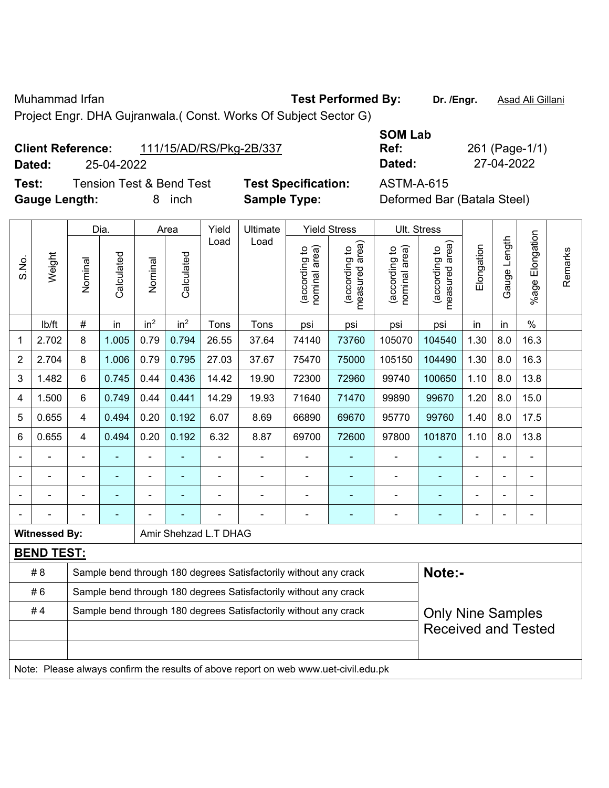Muhammad Irfan **Test Performed By: Dr. /Engr.** Asad Ali Gillani

Project Engr. DHA Gujranwala.( Const. Works Of Subject Sector G)

| <b>Client Reference:</b> | 111/15/AD/RS/Pkg-2B/337 |
|--------------------------|-------------------------|
|--------------------------|-------------------------|

**Dated:** 25-04-2022 **Dated:** 27-04-2022

**Test:** Tension Test & Bend Test **Test Specification:** ASTM-A-615 Gauge Length: **8** inch **Sample Type:** I

**SOM Lab Ref:** 261 (Page-1/1)

| Deformed Bar (Batala Steel) |  |  |
|-----------------------------|--|--|
|-----------------------------|--|--|

|                |                      | Dia.                                                             |                |                 | Yield<br>Area   |                       | Ultimate                                                                            |                                | <b>Yield Stress</b>                        |                                | Ult. Stress                     |                |              |                 |         |
|----------------|----------------------|------------------------------------------------------------------|----------------|-----------------|-----------------|-----------------------|-------------------------------------------------------------------------------------|--------------------------------|--------------------------------------------|--------------------------------|---------------------------------|----------------|--------------|-----------------|---------|
| S.No.          | Weight               | Nominal                                                          | Calculated     | Nominal         | Calculated      | Load                  | Load                                                                                | nominal area)<br>(according to | (acording to<br>neasured area)<br>measured | nominal area)<br>(according to | measured area)<br>(according to | Elongation     | Gauge Length | %age Elongation | Remarks |
|                | lb/ft                | $\#$                                                             | in             | in <sup>2</sup> | in <sup>2</sup> | Tons                  | Tons                                                                                | psi                            | psi                                        | psi                            | psi                             | in             | in           | $\%$            |         |
| $\mathbf{1}$   | 2.702                | 8                                                                | 1.005          | 0.79            | 0.794           | 26.55                 | 37.64                                                                               | 74140                          | 73760                                      | 105070                         | 104540                          | 1.30           | 8.0          | 16.3            |         |
| $\overline{2}$ | 2.704                | 8                                                                | 1.006          | 0.79            | 0.795           | 27.03                 | 37.67                                                                               | 75470                          | 75000                                      | 105150                         | 104490                          | 1.30           | 8.0          | 16.3            |         |
| 3              | 1.482                | 6                                                                | 0.745          | 0.44            | 0.436           | 14.42                 | 19.90                                                                               | 72300                          | 72960                                      | 99740                          | 100650                          | 1.10           | 8.0          | 13.8            |         |
| 4              | 1.500                | 6                                                                | 0.749          | 0.44            | 0.441           | 14.29                 | 19.93                                                                               | 71640                          | 71470                                      | 99890                          | 99670                           | 1.20           | 8.0          | 15.0            |         |
| 5              | 0.655                | 4                                                                | 0.494          | 0.20            | 0.192           | 6.07                  | 8.69                                                                                | 66890                          | 69670                                      | 95770                          | 99760                           | 1.40           | 8.0          | 17.5            |         |
| 6              | 0.655                | 4                                                                | 0.494          | 0.20            | 0.192           | 6.32                  | 8.87                                                                                | 69700                          | 72600                                      | 97800                          | 101870                          | 1.10           | 8.0          | 13.8            |         |
|                | ä,                   | $\blacksquare$                                                   | ä,             | ÷               |                 | L,                    | $\blacksquare$                                                                      | $\blacksquare$                 | $\overline{\phantom{a}}$                   | $\blacksquare$                 | ä,                              | ä,             | ÷,           | ä,              |         |
|                |                      |                                                                  |                | ۳               |                 |                       |                                                                                     |                                |                                            |                                | $\blacksquare$                  |                |              |                 |         |
|                |                      |                                                                  |                | -               |                 |                       |                                                                                     |                                |                                            |                                |                                 |                |              |                 |         |
|                |                      |                                                                  | $\blacksquare$ |                 |                 |                       | $\blacksquare$                                                                      | $\blacksquare$                 | ÷                                          | -                              | ÷                               | $\blacksquare$ | ÷,           | ÷               |         |
|                | <b>Witnessed By:</b> |                                                                  |                |                 |                 | Amir Shehzad L.T DHAG |                                                                                     |                                |                                            |                                |                                 |                |              |                 |         |
|                | <b>BEND TEST:</b>    |                                                                  |                |                 |                 |                       |                                                                                     |                                |                                            |                                |                                 |                |              |                 |         |
|                | # 8                  |                                                                  |                |                 |                 |                       | Sample bend through 180 degrees Satisfactorily without any crack                    |                                |                                            |                                | Note:-                          |                |              |                 |         |
|                | #6                   | Sample bend through 180 degrees Satisfactorily without any crack |                |                 |                 |                       |                                                                                     |                                |                                            |                                |                                 |                |              |                 |         |
|                | #4                   |                                                                  |                |                 |                 |                       | Sample bend through 180 degrees Satisfactorily without any crack                    |                                |                                            |                                | <b>Only Nine Samples</b>        |                |              |                 |         |
|                |                      |                                                                  |                |                 |                 |                       |                                                                                     |                                |                                            |                                | <b>Received and Tested</b>      |                |              |                 |         |
|                |                      |                                                                  |                |                 |                 |                       |                                                                                     |                                |                                            |                                |                                 |                |              |                 |         |
|                |                      |                                                                  |                |                 |                 |                       | Note: Please always confirm the results of above report on web www.uet-civil.edu.pk |                                |                                            |                                |                                 |                |              |                 |         |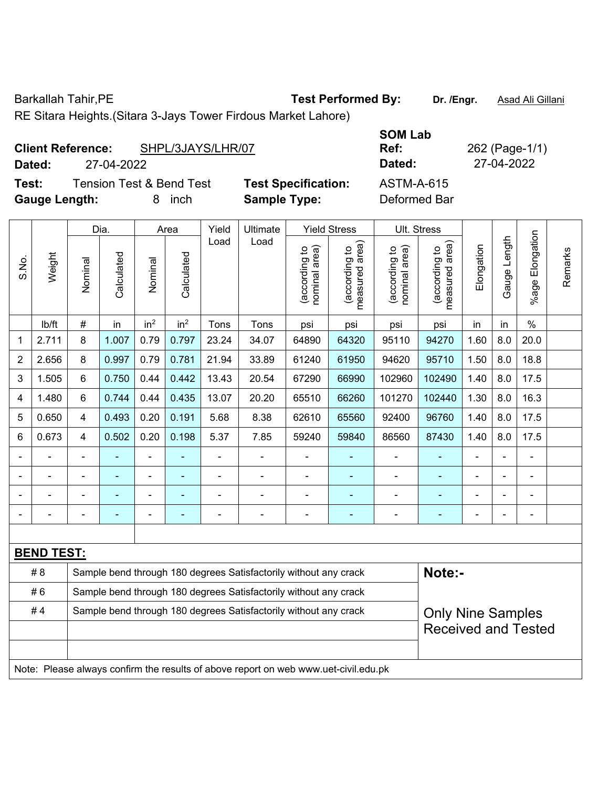Barkallah Tahir, PE **Test Performed By:** Dr. /Engr. **Asad Ali Gillani** 

RE Sitara Heights.(Sitara 3-Jays Tower Firdous Market Lahore)

|                      | <b>Client Reference:</b> | SHPL/3JAYS/LHR/07        |                            | <b>JUIVI LAD</b><br>Ref: |
|----------------------|--------------------------|--------------------------|----------------------------|--------------------------|
| Dated:               | 27-04-2022               |                          |                            | Dated:                   |
| Test:                |                          | Tension Test & Bend Test | <b>Test Specification:</b> | <b>ASTM-A-615</b>        |
| <b>Gauge Length:</b> |                          | <i>inch</i>              | <b>Sample Type:</b>        | Deformed Bar             |

**SOM Lab Ref:** 262 (Page-1/1) **Dated:** 27-04-2022 **Dated:** 27-04-2022 **Test:** Tension Test & Bend Test **Test Specification:** ASTM-A-615

|                |                   | Dia.                                                             |                |                 | Area            |                | Ultimate                                                                            |                                | <b>Yield Stress</b>             |                                | Ult. Stress                     |                |                |                       |         |
|----------------|-------------------|------------------------------------------------------------------|----------------|-----------------|-----------------|----------------|-------------------------------------------------------------------------------------|--------------------------------|---------------------------------|--------------------------------|---------------------------------|----------------|----------------|-----------------------|---------|
| S.No.          | Weight            | Nominal                                                          | Calculated     | Nominal         | Calculated      | Load           | Load                                                                                | (according to<br>nominal area) | (according to<br>measured area) | nominal area)<br>(according to | (according to<br>measured area) | Elongation     | Gauge Length   | Elongation<br>$%$ age | Remarks |
|                | lb/ft             | $\#$                                                             | in             | in <sup>2</sup> | in <sup>2</sup> | Tons           | Tons                                                                                | psi                            | psi                             | psi                            | psi                             | in             | in             | $\%$                  |         |
| $\mathbf{1}$   | 2.711             | 8                                                                | 1.007          | 0.79            | 0.797           | 23.24          | 34.07                                                                               | 64890                          | 64320                           | 95110                          | 94270                           | 1.60           | 8.0            | 20.0                  |         |
| $\overline{c}$ | 2.656             | 8                                                                | 0.997          | 0.79            | 0.781           | 21.94          | 33.89                                                                               | 61240                          | 61950                           | 94620                          | 95710                           | 1.50           | 8.0            | 18.8                  |         |
| 3              | 1.505             | 6                                                                | 0.750          | 0.44            | 0.442           | 13.43          | 20.54                                                                               | 67290                          | 66990                           | 102960                         | 102490                          | 1.40           | 8.0            | 17.5                  |         |
| 4              | 1.480             | 6                                                                | 0.744          | 0.44            | 0.435           | 13.07          | 20.20                                                                               | 65510                          | 66260                           | 101270                         | 102440                          | 1.30           | 8.0            | 16.3                  |         |
| 5              | 0.650             | $\overline{4}$                                                   | 0.493          | 0.20            | 0.191           | 5.68           | 8.38                                                                                | 62610                          | 65560                           | 92400                          | 96760                           | 1.40           | 8.0            | 17.5                  |         |
| 6              | 0.673             | 4                                                                | 0.502          | 0.20            | 0.198           | 5.37           | 7.85                                                                                | 59240                          | 59840                           | 86560                          | 87430                           | 1.40           | 8.0            | 17.5                  |         |
| $\blacksquare$ |                   | $\blacksquare$                                                   | ä,             | ä,              |                 | $\blacksquare$ | $\blacksquare$                                                                      | $\blacksquare$                 |                                 |                                |                                 | ä,             | ä,             | ÷                     |         |
|                |                   |                                                                  |                |                 |                 |                | $\overline{a}$                                                                      | $\blacksquare$                 | $\blacksquare$                  | $\blacksquare$                 |                                 |                |                |                       |         |
|                |                   |                                                                  |                |                 |                 |                |                                                                                     |                                |                                 | ٠                              |                                 | $\blacksquare$ |                |                       |         |
| $\blacksquare$ |                   | Ē,                                                               | $\blacksquare$ | $\blacksquare$  |                 |                | $\blacksquare$                                                                      | $\blacksquare$                 | $\blacksquare$                  | $\blacksquare$                 | $\blacksquare$                  | $\blacksquare$ | $\blacksquare$ | $\blacksquare$        |         |
|                |                   |                                                                  |                |                 |                 |                |                                                                                     |                                |                                 |                                |                                 |                |                |                       |         |
|                | <b>BEND TEST:</b> |                                                                  |                |                 |                 |                |                                                                                     |                                |                                 |                                |                                 |                |                |                       |         |
|                | # 8               |                                                                  |                |                 |                 |                | Sample bend through 180 degrees Satisfactorily without any crack                    |                                |                                 |                                | Note:-                          |                |                |                       |         |
|                | #6                | Sample bend through 180 degrees Satisfactorily without any crack |                |                 |                 |                |                                                                                     |                                |                                 |                                |                                 |                |                |                       |         |
|                | #4                |                                                                  |                |                 |                 |                | Sample bend through 180 degrees Satisfactorily without any crack                    |                                |                                 |                                | <b>Only Nine Samples</b>        |                |                |                       |         |
|                |                   |                                                                  |                |                 |                 |                |                                                                                     |                                |                                 |                                | <b>Received and Tested</b>      |                |                |                       |         |
|                |                   |                                                                  |                |                 |                 |                |                                                                                     |                                |                                 |                                |                                 |                |                |                       |         |
|                |                   |                                                                  |                |                 |                 |                | Note: Please always confirm the results of above report on web www.uet-civil.edu.pk |                                |                                 |                                |                                 |                |                |                       |         |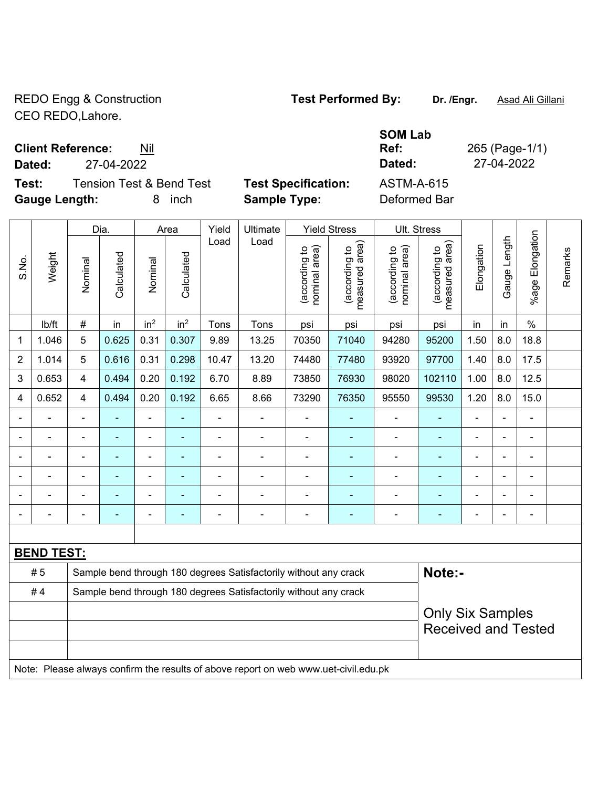REDO Engg & Construction **Test Performed By:** Dr. /Engr. **Asad Ali Gillani** CEO REDO,Lahore.

**Client Reference:** Nil

**Dated:** 27-04-2022 **Dated:** 27-04-2022

**Test:** Tension Test & Bend Test **Test Specification:** ASTM-A-615 **Gauge Length:** 8 inch **Sample Type:** Deformed Bar

**Ref:** 265 (Page-1/1)

**SOM Lab** 

|                |                   | Dia.           |                |                 | Yield<br>Area            |                | Ultimate<br>Load                                                                    | <b>Yield Stress</b>           |                                 | Ult. Stress                    |                                                       |                |                |                 |         |
|----------------|-------------------|----------------|----------------|-----------------|--------------------------|----------------|-------------------------------------------------------------------------------------|-------------------------------|---------------------------------|--------------------------------|-------------------------------------------------------|----------------|----------------|-----------------|---------|
| S.No.          | Weight            | Nominal        | Calculated     | Nominal         | Calculated               | Load           |                                                                                     | nominal area)<br>according to | (according to<br>measured area) | (according to<br>nominal area) | (according to<br>measured area)                       | Elongation     | Gauge Length   | %age Elongation | Remarks |
|                | lb/ft             | $\#$           | in             | in <sup>2</sup> | in <sup>2</sup>          | Tons           | Tons                                                                                | psi                           | psi                             | psi                            | psi                                                   | in             | in             | $\%$            |         |
| $\mathbf{1}$   | 1.046             | $\overline{5}$ | 0.625          | 0.31            | 0.307                    | 9.89           | 13.25                                                                               | 70350                         | 71040                           | 94280                          | 95200                                                 | 1.50           | 8.0            | 18.8            |         |
| $\overline{2}$ | 1.014             | 5              | 0.616          | 0.31            | 0.298                    | 10.47          | 13.20                                                                               | 74480                         | 77480                           | 93920                          | 97700                                                 | 1.40           | 8.0            | 17.5            |         |
| 3              | 0.653             | $\overline{4}$ | 0.494          | 0.20            | 0.192                    | 6.70           | 8.89                                                                                | 73850                         | 76930                           | 98020                          | 102110                                                | 1.00           | 8.0            | 12.5            |         |
| 4              | 0.652             | $\overline{4}$ | 0.494          | 0.20            | 0.192                    | 6.65           | 8.66                                                                                | 73290                         | 76350                           | 95550                          | 99530                                                 | 1.20           | 8.0            | 15.0            |         |
|                |                   | $\blacksquare$ | ä,             | $\blacksquare$  | $\blacksquare$           | ÷,             | $\blacksquare$                                                                      | $\blacksquare$                | ÷,                              | ä,                             | $\blacksquare$                                        | ÷,             | $\blacksquare$ | ÷.              |         |
|                |                   | $\blacksquare$ | ä,             | $\blacksquare$  |                          | $\blacksquare$ | ä,                                                                                  | $\overline{\phantom{a}}$      | ٠                               | ÷,                             |                                                       | $\blacksquare$ |                |                 |         |
|                |                   | $\blacksquare$ | $\blacksquare$ | $\blacksquare$  |                          | $\blacksquare$ | i.                                                                                  | $\blacksquare$                | $\blacksquare$                  | $\overline{\phantom{a}}$       |                                                       | ÷              |                | $\blacksquare$  |         |
|                |                   | $\blacksquare$ | ÷,             | $\blacksquare$  | $\blacksquare$           | $\blacksquare$ | $\blacksquare$                                                                      | $\blacksquare$                | $\blacksquare$                  | $\blacksquare$                 | $\blacksquare$                                        | $\blacksquare$ | $\blacksquare$ | $\blacksquare$  |         |
|                |                   | $\blacksquare$ | L,             | $\blacksquare$  | $\overline{\phantom{a}}$ | $\blacksquare$ | $\overline{\phantom{0}}$                                                            | $\blacksquare$                | $\blacksquare$                  | $\blacksquare$                 | $\blacksquare$                                        | ÷              | $\blacksquare$ | ÷.              |         |
|                |                   | $\blacksquare$ | ÷,             | $\blacksquare$  | Ē.                       | $\blacksquare$ | Ē,                                                                                  | Ē,                            | ۰                               | $\blacksquare$                 | $\blacksquare$                                        | $\blacksquare$ |                |                 |         |
|                |                   |                |                |                 |                          |                |                                                                                     |                               |                                 |                                |                                                       |                |                |                 |         |
|                | <b>BEND TEST:</b> |                |                |                 |                          |                |                                                                                     |                               |                                 |                                |                                                       |                |                |                 |         |
|                | # 5               |                |                |                 |                          |                | Sample bend through 180 degrees Satisfactorily without any crack                    |                               |                                 |                                | Note:-                                                |                |                |                 |         |
|                | #4                |                |                |                 |                          |                | Sample bend through 180 degrees Satisfactorily without any crack                    |                               |                                 |                                |                                                       |                |                |                 |         |
|                |                   |                |                |                 |                          |                |                                                                                     |                               |                                 |                                | <b>Only Six Samples</b><br><b>Received and Tested</b> |                |                |                 |         |
|                |                   |                |                |                 |                          |                |                                                                                     |                               |                                 |                                |                                                       |                |                |                 |         |
|                |                   |                |                |                 |                          |                | Note: Please always confirm the results of above report on web www.uet-civil.edu.pk |                               |                                 |                                |                                                       |                |                |                 |         |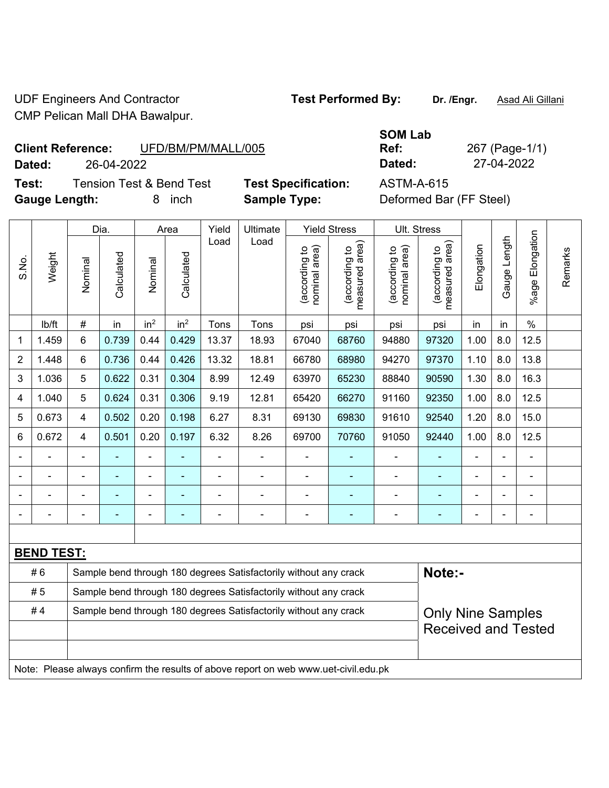UDF Engineers And Contractor **Test Performed By:** Dr. /Engr. **Asad Ali Gillani** CMP Pelican Mall DHA Bawalpur.

## **Client Reference:** UFD/BM/PM/MALL/005

**Dated:** 26-04-2022 **Dated:** 27-04-2022

**Test:** Tension Test & Bend Test **Test Specification:** ASTM-A-615 **Gauge Length:** 8 inch **Sample Type:** Deformed Bar (FF Steel)

| SOM Lab |   |
|---------|---|
| Ref:    | 2 |
| Dated:  |   |

**Ref:** 267 (Page-1/1)

|                                                                        | Weight                                                                              |                | Dia.<br>Area |                              |                 | Yield          | Ultimate                                                         | <b>Yield Stress</b>            |                                 | Ult. Stress                    |                                 |                |                |                    |         |  |
|------------------------------------------------------------------------|-------------------------------------------------------------------------------------|----------------|--------------|------------------------------|-----------------|----------------|------------------------------------------------------------------|--------------------------------|---------------------------------|--------------------------------|---------------------------------|----------------|----------------|--------------------|---------|--|
| S.No.                                                                  |                                                                                     | Nominal        | Calculated   | Nominal                      | Calculated      | Load           | Load                                                             | nominal area)<br>(according to | (according to<br>measured area) | (according to<br>nominal area) | (according to<br>measured area) | Elongation     | Gauge Length   | Elongation<br>%age | Remarks |  |
|                                                                        | lb/ft                                                                               | $\#$           | in           | in <sup>2</sup>              | in <sup>2</sup> | Tons           | Tons                                                             | psi                            | psi                             | psi                            | psi                             | in             | in             | $\frac{0}{0}$      |         |  |
| 1                                                                      | 1.459                                                                               | 6              | 0.739        | 0.44                         | 0.429           | 13.37          | 18.93                                                            | 67040                          | 68760                           | 94880                          | 97320                           | 1.00           | 8.0            | 12.5               |         |  |
| $\overline{2}$                                                         | 1.448                                                                               | 6              | 0.736        | 0.44                         | 0.426           | 13.32          | 18.81                                                            | 66780                          | 68980                           | 94270                          | 97370                           | 1.10           | 8.0            | 13.8               |         |  |
| 3                                                                      | 1.036                                                                               | 5              | 0.622        | 0.31                         | 0.304           | 8.99           | 12.49                                                            | 63970                          | 65230                           | 88840                          | 90590                           | 1.30           | 8.0            | 16.3               |         |  |
| 4                                                                      | 1.040                                                                               | 5              | 0.624        | 0.31                         | 0.306           | 9.19           | 12.81                                                            | 65420                          | 66270                           | 91160                          | 92350                           | 1.00           | 8.0            | 12.5               |         |  |
| 5                                                                      | 0.673                                                                               | $\overline{4}$ | 0.502        | 0.20                         | 0.198           | 6.27           | 8.31                                                             | 69130                          | 69830                           | 91610                          | 92540                           | 1.20           | 8.0            | 15.0               |         |  |
| 6                                                                      | 0.672                                                                               | $\overline{4}$ | 0.501        | 0.20                         | 0.197           | 6.32           | 8.26                                                             | 69700                          | 70760                           | 91050                          | 92440                           | 1.00           | 8.0            | 12.5               |         |  |
|                                                                        |                                                                                     | $\blacksquare$ | ä,           | $\qquad \qquad \blacksquare$ |                 | $\blacksquare$ | $\blacksquare$                                                   | $\blacksquare$                 |                                 | $\blacksquare$                 | $\blacksquare$                  | $\blacksquare$ |                | ÷,                 |         |  |
|                                                                        |                                                                                     |                |              | $\blacksquare$               |                 |                | $\blacksquare$                                                   | $\blacksquare$                 |                                 | $\blacksquare$                 |                                 |                |                | ÷                  |         |  |
|                                                                        |                                                                                     |                |              | $\blacksquare$               |                 |                | $\blacksquare$                                                   | $\blacksquare$                 |                                 | ÷                              | $\overline{a}$                  |                |                | $\blacksquare$     |         |  |
|                                                                        |                                                                                     |                |              | ÷                            | -               | $\blacksquare$ | $\blacksquare$                                                   | $\overline{a}$                 | ۰                               | $\blacksquare$                 | ÷                               |                | $\blacksquare$ | ÷,                 |         |  |
|                                                                        |                                                                                     |                |              |                              |                 |                |                                                                  |                                |                                 |                                |                                 |                |                |                    |         |  |
|                                                                        | <b>BEND TEST:</b>                                                                   |                |              |                              |                 |                |                                                                  |                                |                                 |                                |                                 |                |                |                    |         |  |
|                                                                        | #6                                                                                  |                |              |                              |                 |                | Sample bend through 180 degrees Satisfactorily without any crack |                                |                                 |                                | Note:-                          |                |                |                    |         |  |
|                                                                        | #5                                                                                  |                |              |                              |                 |                | Sample bend through 180 degrees Satisfactorily without any crack |                                |                                 |                                |                                 |                |                |                    |         |  |
| #4<br>Sample bend through 180 degrees Satisfactorily without any crack |                                                                                     |                |              |                              |                 |                |                                                                  |                                | <b>Only Nine Samples</b>        |                                |                                 |                |                |                    |         |  |
|                                                                        |                                                                                     |                |              |                              |                 |                |                                                                  |                                |                                 |                                | <b>Received and Tested</b>      |                |                |                    |         |  |
|                                                                        |                                                                                     |                |              |                              |                 |                |                                                                  |                                |                                 |                                |                                 |                |                |                    |         |  |
|                                                                        | Note: Please always confirm the results of above report on web www.uet-civil.edu.pk |                |              |                              |                 |                |                                                                  |                                |                                 |                                |                                 |                |                |                    |         |  |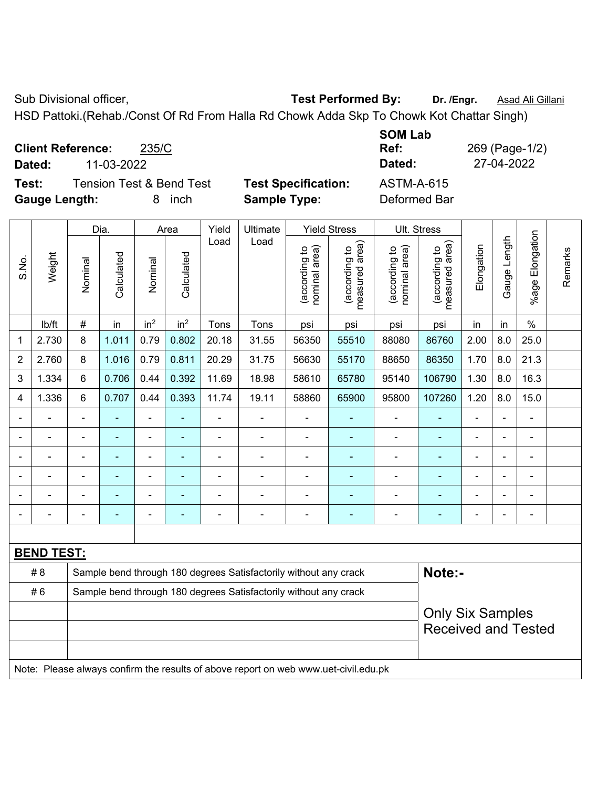Sub Divisional officer, **Test Performed By:** Dr. /Engr. **Asad Ali Gillani** Collection Association Association Association Association Association Association Association Association Association Association Association Asso

HSD Pattoki.(Rehab./Const Of Rd From Halla Rd Chowk Adda Skp To Chowk Kot Chattar Singh)

**Client Reference:** 235/C

**Test:** Tension Test & Bend Test **Test Specification:** ASTM-A-615 **Gauge Length:** 8 inch **Sample Type:** Deformed Bar

**SOM Lab Dated:** 11-03-2022 **Dated:** 27-04-2022

|                | Weight            |                          | Dia.                     |                              | Area            | Yield          | Ultimate                                                                            |                                | <b>Yield Stress</b>             | Ult. Stress                    |                                             |                |                |                          |         |  |
|----------------|-------------------|--------------------------|--------------------------|------------------------------|-----------------|----------------|-------------------------------------------------------------------------------------|--------------------------------|---------------------------------|--------------------------------|---------------------------------------------|----------------|----------------|--------------------------|---------|--|
| S.No.          |                   | Nominal                  | Calculated               | Nominal                      | Calculated      | Load           | Load                                                                                | nominal area)<br>(according to | measured area)<br>(according to | (according to<br>nominal area) | (according to<br>neasured area)<br>measured | Elongation     | Gauge Length   | Elongation<br>$%$ age    | Remarks |  |
|                | lb/ft             | #                        | in                       | in <sup>2</sup>              | in <sup>2</sup> | Tons           | Tons                                                                                | psi                            | psi                             | psi                            | psi                                         | in             | in             | $\%$                     |         |  |
| 1              | 2.730             | 8                        | 1.011                    | 0.79                         | 0.802           | 20.18          | 31.55                                                                               | 56350                          | 55510                           | 88080                          | 86760                                       | 2.00           | 8.0            | 25.0                     |         |  |
| $\overline{2}$ | 2.760             | 8                        | 1.016                    | 0.79                         | 0.811           | 20.29          | 31.75                                                                               | 56630                          | 55170                           | 88650                          | 86350                                       | 1.70           | 8.0            | 21.3                     |         |  |
| 3              | 1.334             | 6                        | 0.706                    | 0.44                         | 0.392           | 11.69          | 18.98                                                                               | 58610                          | 65780                           | 95140                          | 106790                                      | 1.30           | 8.0            | 16.3                     |         |  |
| 4              | 1.336             | 6                        | 0.707                    | 0.44                         | 0.393           | 11.74          | 19.11                                                                               | 58860                          | 65900                           | 95800                          | 107260                                      | 1.20           | 8.0            | 15.0                     |         |  |
|                |                   | $\blacksquare$           | ÷,                       | $\blacksquare$               | ٠               | $\blacksquare$ | $\blacksquare$                                                                      | $\blacksquare$                 | ۰                               | $\blacksquare$                 |                                             | $\blacksquare$ | $\blacksquare$ | ä,                       |         |  |
| $\blacksquare$ | $\blacksquare$    | ä,                       | $\blacksquare$           | $\qquad \qquad \blacksquare$ | ٠               | $\blacksquare$ | $\blacksquare$                                                                      | $\blacksquare$                 | Ξ                               | $\blacksquare$                 | $\blacksquare$                              | $\blacksquare$ | $\blacksquare$ | ÷,                       |         |  |
|                | $\overline{a}$    | $\blacksquare$           | $\blacksquare$           | $\blacksquare$               | ٠               | $\blacksquare$ | ÷                                                                                   | $\blacksquare$                 | ۰                               | $\blacksquare$                 | $\blacksquare$                              | $\blacksquare$ | $\blacksquare$ | $\overline{\phantom{a}}$ |         |  |
|                |                   |                          |                          |                              | ۳               |                |                                                                                     | $\blacksquare$                 | ۳                               |                                |                                             | $\blacksquare$ |                | $\blacksquare$           |         |  |
|                |                   |                          |                          |                              |                 |                |                                                                                     | $\blacksquare$                 | ä,                              |                                |                                             |                |                | ÷                        |         |  |
|                |                   | $\overline{\phantom{0}}$ | $\overline{\phantom{a}}$ | ۰                            | ۳               |                | $\blacksquare$                                                                      | $\blacksquare$                 | ۰                               | $\blacksquare$                 | ٠                                           | $\blacksquare$ | $\blacksquare$ | $\blacksquare$           |         |  |
|                |                   |                          |                          |                              |                 |                |                                                                                     |                                |                                 |                                |                                             |                |                |                          |         |  |
|                | <b>BEND TEST:</b> |                          |                          |                              |                 |                |                                                                                     |                                |                                 |                                |                                             |                |                |                          |         |  |
|                | # 8               |                          |                          |                              |                 |                | Sample bend through 180 degrees Satisfactorily without any crack                    |                                |                                 |                                | Note:-                                      |                |                |                          |         |  |
|                | #6                |                          |                          |                              |                 |                | Sample bend through 180 degrees Satisfactorily without any crack                    |                                |                                 |                                |                                             |                |                |                          |         |  |
|                |                   |                          |                          |                              |                 |                |                                                                                     |                                |                                 |                                | <b>Only Six Samples</b>                     |                |                |                          |         |  |
|                |                   |                          |                          |                              |                 |                |                                                                                     |                                |                                 | <b>Received and Tested</b>     |                                             |                |                |                          |         |  |
|                |                   |                          |                          |                              |                 |                | Note: Please always confirm the results of above report on web www.uet-civil.edu.pk |                                |                                 |                                |                                             |                |                |                          |         |  |

**Ref:** 269 (Page-1/2)